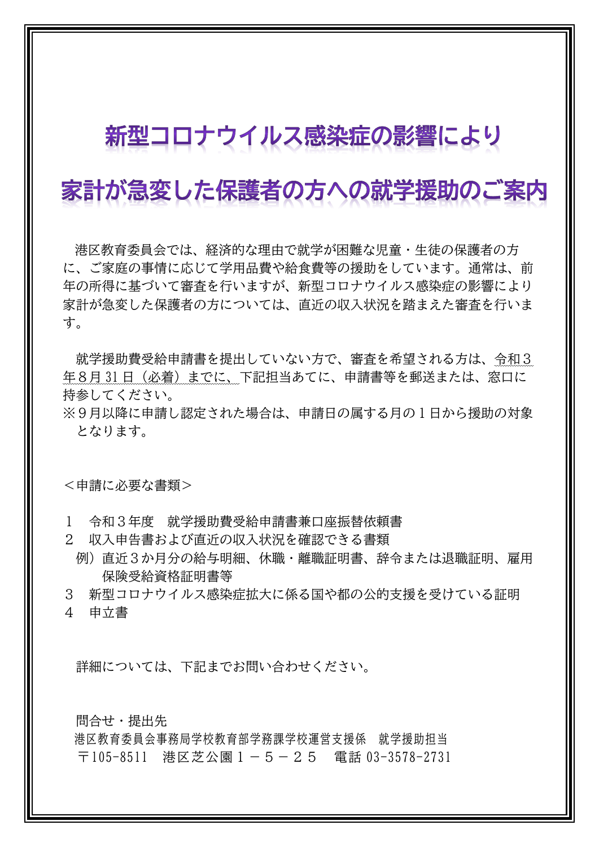## 新型コロナウイルス感染症の影響により

## 家計が急変した保護者の方への就学援助のご案内

港区教育委員会では、経済的な理由で就学が困難な児童・生徒の保護者の方 に、ご家庭の事情に応じて学用品費や給食費等の援助をしています。通常は、前 年の所得に基づいて審査を行いますが、新型コロナウイルス感染症の影響により 家計が急変した保護者の方については、直近の収入状況を踏まえた審査を行いま す。

就学援助費受給申請書を提出していない方で、審査を希望される方は、令和3 年8月31日 (必着)までに、下記担当あてに、申請書等を郵送または、窓口に 持参してください。

※9月以降に申請し認定された場合は、申請日の属する月の1日から援助の対象 となります。

<申請に必要な書類>

- 1 令和3年度 就学援助費受給申請書兼口座振替依頼書
- 2 収入申告書および直近の収入状況を確認できる書類
- 例)直近3か月分の給与明細、休職・離職証明書、辞令または退職証明、雇用 保険受給資格証明書等
- 3 新型コロナウイルス感染症拡大に係る国や都の公的支援を受けている証明
- 4 申立書

詳細については、下記までお問い合わせください。

問合せ・提出先

港区教育委員会事務局学校教育部学務課学校運営支援係 就学援助担当 〒105-8511 港区芝公園1-5-25 電話 03-3578-2731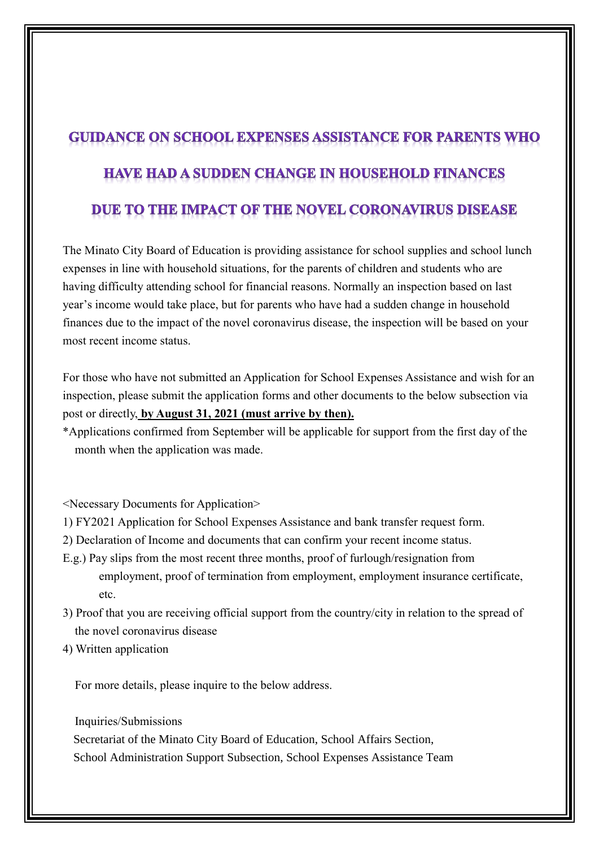## **GUIDANCE ON SCHOOL EXPENSES ASSISTANCE FOR PARENTS WHO HAVE HAD A SUDDEN CHANGE IN HOUSEHOLD FINANCES** DUE TO THE IMPACT OF THE NOVEL CORONAVIRUS DISEASE

The Minato City Board of Education is providing assistance for school supplies and school lunch expenses in line with household situations, for the parents of children and students who are having difficulty attending school for financial reasons. Normally an inspection based on last year's income would take place, but for parents who have had a sudden change in household finances due to the impact of the novel coronavirus disease, the inspection will be based on your most recent income status.

For those who have not submitted an Application for School Expenses Assistance and wish for an inspection, please submit the application forms and other documents to the below subsection via post or directly, **by August 31, 2021 (must arrive by then).**

\*Applications confirmed from September will be applicable for support from the first day of the month when the application was made.

<Necessary Documents for Application>

- 1) FY2021 Application for School Expenses Assistance and bank transfer request form.
- 2) Declaration of Income and documents that can confirm your recent income status.
- E.g.) Pay slips from the most recent three months, proof of furlough/resignation from employment, proof of termination from employment, employment insurance certificate, etc.
- 3) Proof that you are receiving official support from the country/city in relation to the spread of the novel coronavirus disease
- 4) Written application

For more details, please inquire to the below address.

Inquiries/Submissions Secretariat of the Minato City Board of Education, School Affairs Section, School Administration Support Subsection, School Expenses Assistance Team